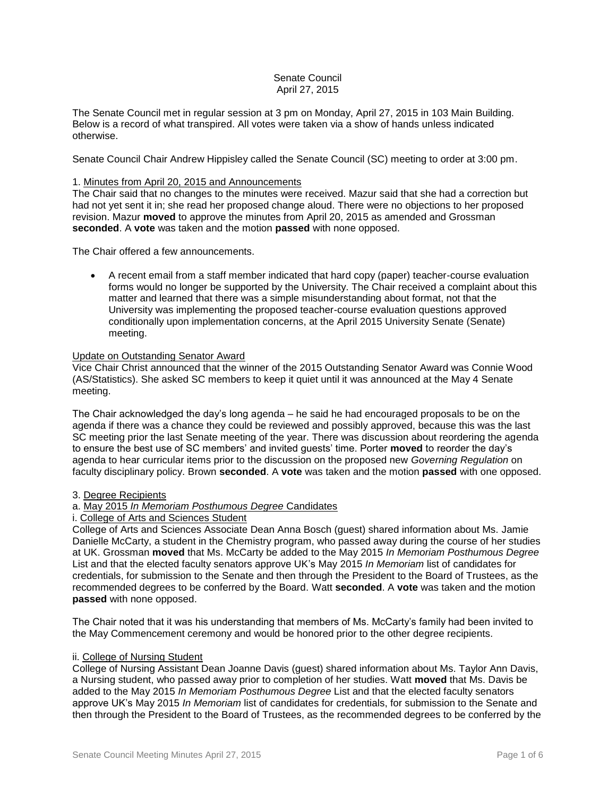# Senate Council April 27, 2015

The Senate Council met in regular session at 3 pm on Monday, April 27, 2015 in 103 Main Building. Below is a record of what transpired. All votes were taken via a show of hands unless indicated otherwise.

Senate Council Chair Andrew Hippisley called the Senate Council (SC) meeting to order at 3:00 pm.

## 1. Minutes from April 20, 2015 and Announcements

The Chair said that no changes to the minutes were received. Mazur said that she had a correction but had not yet sent it in; she read her proposed change aloud. There were no objections to her proposed revision. Mazur **moved** to approve the minutes from April 20, 2015 as amended and Grossman **seconded**. A **vote** was taken and the motion **passed** with none opposed.

The Chair offered a few announcements.

 A recent email from a staff member indicated that hard copy (paper) teacher-course evaluation forms would no longer be supported by the University. The Chair received a complaint about this matter and learned that there was a simple misunderstanding about format, not that the University was implementing the proposed teacher-course evaluation questions approved conditionally upon implementation concerns, at the April 2015 University Senate (Senate) meeting.

# Update on Outstanding Senator Award

Vice Chair Christ announced that the winner of the 2015 Outstanding Senator Award was Connie Wood (AS/Statistics). She asked SC members to keep it quiet until it was announced at the May 4 Senate meeting.

The Chair acknowledged the day's long agenda – he said he had encouraged proposals to be on the agenda if there was a chance they could be reviewed and possibly approved, because this was the last SC meeting prior the last Senate meeting of the year. There was discussion about reordering the agenda to ensure the best use of SC members' and invited guests' time. Porter **moved** to reorder the day's agenda to hear curricular items prior to the discussion on the proposed new *Governing Regulation* on faculty disciplinary policy. Brown **seconded**. A **vote** was taken and the motion **passed** with one opposed.

## 3. Degree Recipients

## a. May 2015 *In Memoriam Posthumous Degree* Candidates

## i. College of Arts and Sciences Student

College of Arts and Sciences Associate Dean Anna Bosch (guest) shared information about Ms. Jamie Danielle McCarty, a student in the Chemistry program, who passed away during the course of her studies at UK. Grossman **moved** that Ms. McCarty be added to the May 2015 *In Memoriam Posthumous Degree*  List and that the elected faculty senators approve UK's May 2015 *In Memoriam* list of candidates for credentials, for submission to the Senate and then through the President to the Board of Trustees, as the recommended degrees to be conferred by the Board. Watt **seconded**. A **vote** was taken and the motion **passed** with none opposed.

The Chair noted that it was his understanding that members of Ms. McCarty's family had been invited to the May Commencement ceremony and would be honored prior to the other degree recipients.

## ii. College of Nursing Student

College of Nursing Assistant Dean Joanne Davis (guest) shared information about Ms. Taylor Ann Davis, a Nursing student, who passed away prior to completion of her studies. Watt **moved** that Ms. Davis be added to the May 2015 *In Memoriam Posthumous Degree* List and that the elected faculty senators approve UK's May 2015 *In Memoriam* list of candidates for credentials, for submission to the Senate and then through the President to the Board of Trustees, as the recommended degrees to be conferred by the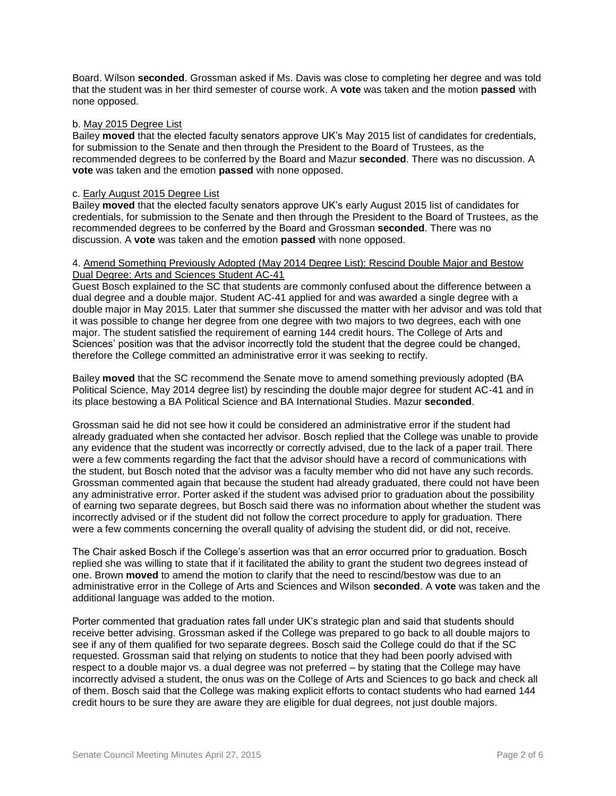Board. Wilson **seconded**. Grossman asked if Ms. Davis was close to completing her degree and was told that the student was in her third semester of course work. A **vote** was taken and the motion **passed** with none opposed.

#### b. May 2015 Degree List

Bailey **moved** that the elected faculty senators approve UK's May 2015 list of candidates for credentials, for submission to the Senate and then through the President to the Board of Trustees, as the recommended degrees to be conferred by the Board and Mazur **seconded**. There was no discussion. A **vote** was taken and the emotion **passed** with none opposed.

#### c. Early August 2015 Degree List

Bailey **moved** that the elected faculty senators approve UK's early August 2015 list of candidates for credentials, for submission to the Senate and then through the President to the Board of Trustees, as the recommended degrees to be conferred by the Board and Grossman **seconded**. There was no discussion. A **vote** was taken and the emotion **passed** with none opposed.

#### 4. Amend Something Previously Adopted (May 2014 Degree List): Rescind Double Major and Bestow Dual Degree: Arts and Sciences Student AC-41

Guest Bosch explained to the SC that students are commonly confused about the difference between a dual degree and a double major. Student AC-41 applied for and was awarded a single degree with a double major in May 2015. Later that summer she discussed the matter with her advisor and was told that it was possible to change her degree from one degree with two majors to two degrees, each with one major. The student satisfied the requirement of earning 144 credit hours. The College of Arts and Sciences' position was that the advisor incorrectly told the student that the degree could be changed, therefore the College committed an administrative error it was seeking to rectify.

Bailey **moved** that the SC recommend the Senate move to amend something previously adopted (BA Political Science, May 2014 degree list) by rescinding the double major degree for student AC-41 and in its place bestowing a BA Political Science and BA International Studies. Mazur **seconded**.

Grossman said he did not see how it could be considered an administrative error if the student had already graduated when she contacted her advisor. Bosch replied that the College was unable to provide any evidence that the student was incorrectly or correctly advised, due to the lack of a paper trail. There were a few comments regarding the fact that the advisor should have a record of communications with the student, but Bosch noted that the advisor was a faculty member who did not have any such records. Grossman commented again that because the student had already graduated, there could not have been any administrative error. Porter asked if the student was advised prior to graduation about the possibility of earning two separate degrees, but Bosch said there was no information about whether the student was incorrectly advised or if the student did not follow the correct procedure to apply for graduation. There were a few comments concerning the overall quality of advising the student did, or did not, receive.

The Chair asked Bosch if the College's assertion was that an error occurred prior to graduation. Bosch replied she was willing to state that if it facilitated the ability to grant the student two degrees instead of one. Brown **moved** to amend the motion to clarify that the need to rescind/bestow was due to an administrative error in the College of Arts and Sciences and Wilson **seconded**. A **vote** was taken and the additional language was added to the motion.

Porter commented that graduation rates fall under UK's strategic plan and said that students should receive better advising. Grossman asked if the College was prepared to go back to all double majors to see if any of them qualified for two separate degrees. Bosch said the College could do that if the SC requested. Grossman said that relying on students to notice that they had been poorly advised with respect to a double major vs. a dual degree was not preferred – by stating that the College may have incorrectly advised a student, the onus was on the College of Arts and Sciences to go back and check all of them. Bosch said that the College was making explicit efforts to contact students who had earned 144 credit hours to be sure they are aware they are eligible for dual degrees, not just double majors.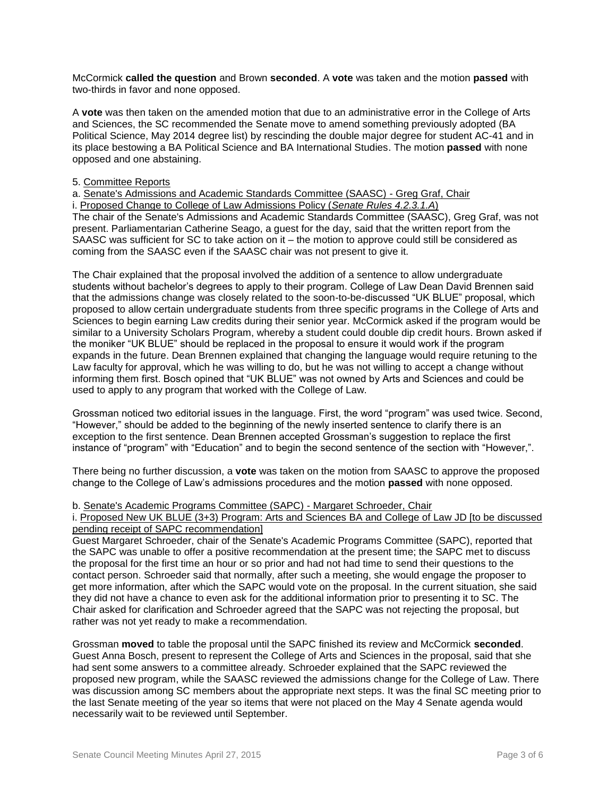McCormick **called the question** and Brown **seconded**. A **vote** was taken and the motion **passed** with two-thirds in favor and none opposed.

A **vote** was then taken on the amended motion that due to an administrative error in the College of Arts and Sciences, the SC recommended the Senate move to amend something previously adopted (BA Political Science, May 2014 degree list) by rescinding the double major degree for student AC-41 and in its place bestowing a BA Political Science and BA International Studies. The motion **passed** with none opposed and one abstaining.

### 5. Committee Reports

a. Senate's Admissions and Academic Standards Committee (SAASC) - Greg Graf, Chair

i. Proposed Change to College of Law Admissions Policy (*Senate Rules 4.2.3.1.A*)

The chair of the Senate's Admissions and Academic Standards Committee (SAASC), Greg Graf, was not present. Parliamentarian Catherine Seago, a guest for the day, said that the written report from the SAASC was sufficient for SC to take action on it – the motion to approve could still be considered as coming from the SAASC even if the SAASC chair was not present to give it.

The Chair explained that the proposal involved the addition of a sentence to allow undergraduate students without bachelor's degrees to apply to their program. College of Law Dean David Brennen said that the admissions change was closely related to the soon-to-be-discussed "UK BLUE" proposal, which proposed to allow certain undergraduate students from three specific programs in the College of Arts and Sciences to begin earning Law credits during their senior year. McCormick asked if the program would be similar to a University Scholars Program, whereby a student could double dip credit hours. Brown asked if the moniker "UK BLUE" should be replaced in the proposal to ensure it would work if the program expands in the future. Dean Brennen explained that changing the language would require retuning to the Law faculty for approval, which he was willing to do, but he was not willing to accept a change without informing them first. Bosch opined that "UK BLUE" was not owned by Arts and Sciences and could be used to apply to any program that worked with the College of Law.

Grossman noticed two editorial issues in the language. First, the word "program" was used twice. Second, "However," should be added to the beginning of the newly inserted sentence to clarify there is an exception to the first sentence. Dean Brennen accepted Grossman's suggestion to replace the first instance of "program" with "Education" and to begin the second sentence of the section with "However,".

There being no further discussion, a **vote** was taken on the motion from SAASC to approve the proposed change to the College of Law's admissions procedures and the motion **passed** with none opposed.

#### b. Senate's Academic Programs Committee (SAPC) - Margaret Schroeder, Chair

i. Proposed New UK BLUE (3+3) Program: Arts and Sciences BA and College of Law JD [to be discussed pending receipt of SAPC recommendation]

Guest Margaret Schroeder, chair of the Senate's Academic Programs Committee (SAPC), reported that the SAPC was unable to offer a positive recommendation at the present time; the SAPC met to discuss the proposal for the first time an hour or so prior and had not had time to send their questions to the contact person. Schroeder said that normally, after such a meeting, she would engage the proposer to get more information, after which the SAPC would vote on the proposal. In the current situation, she said they did not have a chance to even ask for the additional information prior to presenting it to SC. The Chair asked for clarification and Schroeder agreed that the SAPC was not rejecting the proposal, but rather was not yet ready to make a recommendation.

Grossman **moved** to table the proposal until the SAPC finished its review and McCormick **seconded**. Guest Anna Bosch, present to represent the College of Arts and Sciences in the proposal, said that she had sent some answers to a committee already. Schroeder explained that the SAPC reviewed the proposed new program, while the SAASC reviewed the admissions change for the College of Law. There was discussion among SC members about the appropriate next steps. It was the final SC meeting prior to the last Senate meeting of the year so items that were not placed on the May 4 Senate agenda would necessarily wait to be reviewed until September.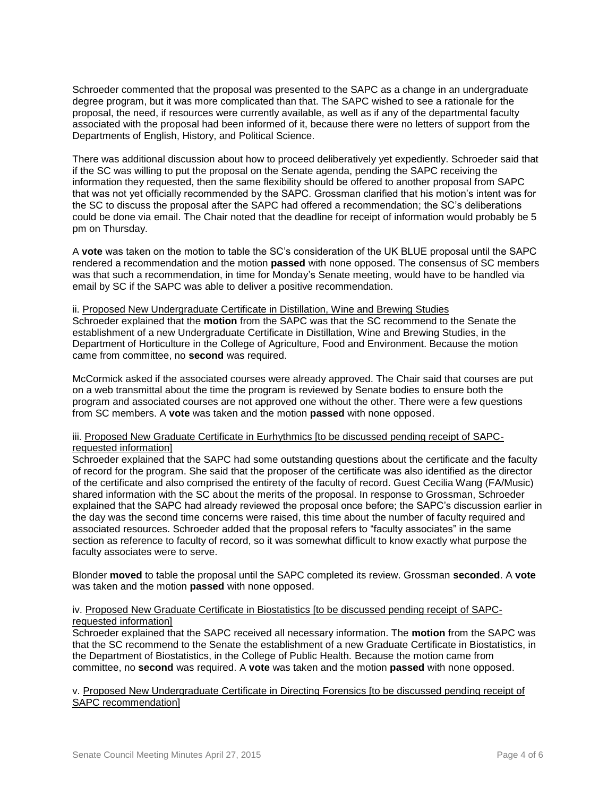Schroeder commented that the proposal was presented to the SAPC as a change in an undergraduate degree program, but it was more complicated than that. The SAPC wished to see a rationale for the proposal, the need, if resources were currently available, as well as if any of the departmental faculty associated with the proposal had been informed of it, because there were no letters of support from the Departments of English, History, and Political Science.

There was additional discussion about how to proceed deliberatively yet expediently. Schroeder said that if the SC was willing to put the proposal on the Senate agenda, pending the SAPC receiving the information they requested, then the same flexibility should be offered to another proposal from SAPC that was not yet officially recommended by the SAPC. Grossman clarified that his motion's intent was for the SC to discuss the proposal after the SAPC had offered a recommendation; the SC's deliberations could be done via email. The Chair noted that the deadline for receipt of information would probably be 5 pm on Thursday.

A **vote** was taken on the motion to table the SC's consideration of the UK BLUE proposal until the SAPC rendered a recommendation and the motion **passed** with none opposed. The consensus of SC members was that such a recommendation, in time for Monday's Senate meeting, would have to be handled via email by SC if the SAPC was able to deliver a positive recommendation.

# ii. Proposed New Undergraduate Certificate in Distillation, Wine and Brewing Studies

Schroeder explained that the **motion** from the SAPC was that the SC recommend to the Senate the establishment of a new Undergraduate Certificate in Distillation, Wine and Brewing Studies, in the Department of Horticulture in the College of Agriculture, Food and Environment. Because the motion came from committee, no **second** was required.

McCormick asked if the associated courses were already approved. The Chair said that courses are put on a web transmittal about the time the program is reviewed by Senate bodies to ensure both the program and associated courses are not approved one without the other. There were a few questions from SC members. A **vote** was taken and the motion **passed** with none opposed.

## iii. Proposed New Graduate Certificate in Eurhythmics [to be discussed pending receipt of SAPCrequested information]

Schroeder explained that the SAPC had some outstanding questions about the certificate and the faculty of record for the program. She said that the proposer of the certificate was also identified as the director of the certificate and also comprised the entirety of the faculty of record. Guest Cecilia Wang (FA/Music) shared information with the SC about the merits of the proposal. In response to Grossman, Schroeder explained that the SAPC had already reviewed the proposal once before; the SAPC's discussion earlier in the day was the second time concerns were raised, this time about the number of faculty required and associated resources. Schroeder added that the proposal refers to "faculty associates" in the same section as reference to faculty of record, so it was somewhat difficult to know exactly what purpose the faculty associates were to serve.

Blonder **moved** to table the proposal until the SAPC completed its review. Grossman **seconded**. A **vote** was taken and the motion **passed** with none opposed.

### iv. Proposed New Graduate Certificate in Biostatistics [to be discussed pending receipt of SAPCrequested information]

Schroeder explained that the SAPC received all necessary information. The **motion** from the SAPC was that the SC recommend to the Senate the establishment of a new Graduate Certificate in Biostatistics, in the Department of Biostatistics, in the College of Public Health. Because the motion came from committee, no **second** was required. A **vote** was taken and the motion **passed** with none opposed.

### v. Proposed New Undergraduate Certificate in Directing Forensics [to be discussed pending receipt of SAPC recommendation]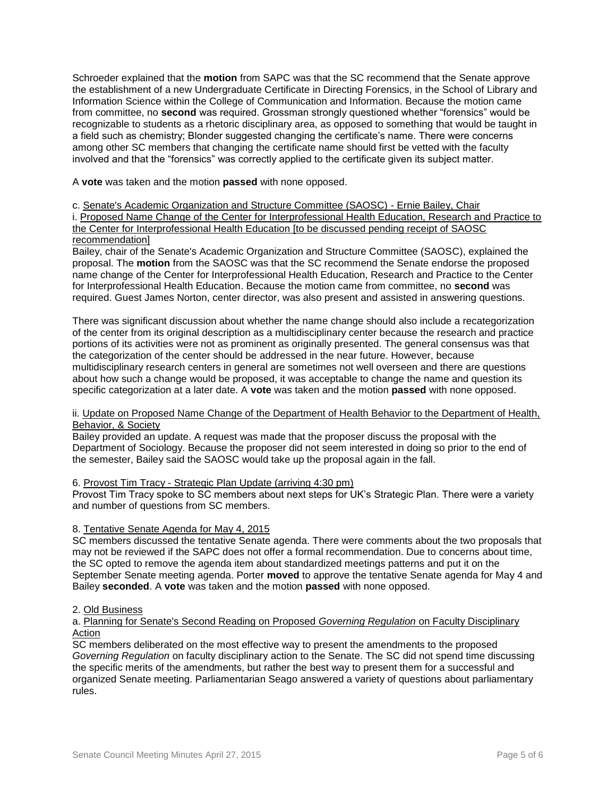Schroeder explained that the **motion** from SAPC was that the SC recommend that the Senate approve the establishment of a new Undergraduate Certificate in Directing Forensics, in the School of Library and Information Science within the College of Communication and Information. Because the motion came from committee, no **second** was required. Grossman strongly questioned whether "forensics" would be recognizable to students as a rhetoric disciplinary area, as opposed to something that would be taught in a field such as chemistry; Blonder suggested changing the certificate's name. There were concerns among other SC members that changing the certificate name should first be vetted with the faculty involved and that the "forensics" was correctly applied to the certificate given its subject matter.

A **vote** was taken and the motion **passed** with none opposed.

## c. Senate's Academic Organization and Structure Committee (SAOSC) - Ernie Bailey, Chair

i. Proposed Name Change of the Center for Interprofessional Health Education, Research and Practice to the Center for Interprofessional Health Education [to be discussed pending receipt of SAOSC recommendation]

Bailey, chair of the Senate's Academic Organization and Structure Committee (SAOSC), explained the proposal. The **motion** from the SAOSC was that the SC recommend the Senate endorse the proposed name change of the Center for Interprofessional Health Education, Research and Practice to the Center for Interprofessional Health Education. Because the motion came from committee, no **second** was required. Guest James Norton, center director, was also present and assisted in answering questions.

There was significant discussion about whether the name change should also include a recategorization of the center from its original description as a multidisciplinary center because the research and practice portions of its activities were not as prominent as originally presented. The general consensus was that the categorization of the center should be addressed in the near future. However, because multidisciplinary research centers in general are sometimes not well overseen and there are questions about how such a change would be proposed, it was acceptable to change the name and question its specific categorization at a later date. A **vote** was taken and the motion **passed** with none opposed.

## ii. Update on Proposed Name Change of the Department of Health Behavior to the Department of Health, Behavior, & Society

Bailey provided an update. A request was made that the proposer discuss the proposal with the Department of Sociology. Because the proposer did not seem interested in doing so prior to the end of the semester, Bailey said the SAOSC would take up the proposal again in the fall.

## 6. Provost Tim Tracy - Strategic Plan Update (arriving 4:30 pm)

Provost Tim Tracy spoke to SC members about next steps for UK's Strategic Plan. There were a variety and number of questions from SC members.

## 8. Tentative Senate Agenda for May 4, 2015

SC members discussed the tentative Senate agenda. There were comments about the two proposals that may not be reviewed if the SAPC does not offer a formal recommendation. Due to concerns about time, the SC opted to remove the agenda item about standardized meetings patterns and put it on the September Senate meeting agenda. Porter **moved** to approve the tentative Senate agenda for May 4 and Bailey **seconded**. A **vote** was taken and the motion **passed** with none opposed.

## 2. Old Business

## a. Planning for Senate's Second Reading on Proposed *Governing Regulation* on Faculty Disciplinary Action

SC members deliberated on the most effective way to present the amendments to the proposed *Governing Regulation* on faculty disciplinary action to the Senate. The SC did not spend time discussing the specific merits of the amendments, but rather the best way to present them for a successful and organized Senate meeting. Parliamentarian Seago answered a variety of questions about parliamentary rules.